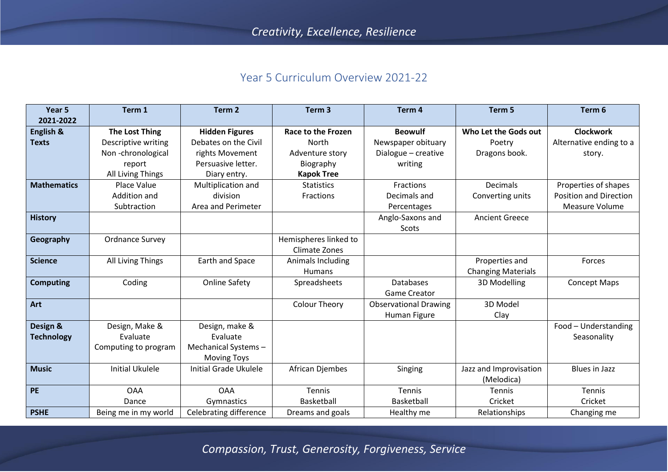## Year 5 Curriculum Overview 2021-22

| Year 5             | Term 1                 | Term <sub>2</sub>            | Term <sub>3</sub>         | Term 4                       | Term 5                    | Term 6                        |
|--------------------|------------------------|------------------------------|---------------------------|------------------------------|---------------------------|-------------------------------|
| 2021-2022          |                        |                              |                           |                              |                           |                               |
| English &          | <b>The Lost Thing</b>  | <b>Hidden Figures</b>        | <b>Race to the Frozen</b> | <b>Beowulf</b>               | Who Let the Gods out      | <b>Clockwork</b>              |
| <b>Texts</b>       | Descriptive writing    | Debates on the Civil         | North                     | Newspaper obituary           | Poetry                    | Alternative ending to a       |
|                    | Non-chronological      | rights Movement              | Adventure story           | Dialogue - creative          | Dragons book.             | story.                        |
|                    | report                 | Persuasive letter.           | Biography                 | writing                      |                           |                               |
|                    | All Living Things      | Diary entry.                 | <b>Kapok Tree</b>         |                              |                           |                               |
| <b>Mathematics</b> | <b>Place Value</b>     | Multiplication and           | <b>Statistics</b>         | Fractions                    | <b>Decimals</b>           | Properties of shapes          |
|                    | Addition and           | division                     | Fractions                 | Decimals and                 | Converting units          | <b>Position and Direction</b> |
|                    | Subtraction            | Area and Perimeter           |                           | Percentages                  |                           | <b>Measure Volume</b>         |
| <b>History</b>     |                        |                              |                           | Anglo-Saxons and             | <b>Ancient Greece</b>     |                               |
|                    |                        |                              |                           | Scots                        |                           |                               |
| Geography          | <b>Ordnance Survey</b> |                              | Hemispheres linked to     |                              |                           |                               |
|                    |                        |                              | <b>Climate Zones</b>      |                              |                           |                               |
| <b>Science</b>     | All Living Things      | Earth and Space              | Animals Including         |                              | Properties and            | Forces                        |
|                    |                        |                              | <b>Humans</b>             |                              | <b>Changing Materials</b> |                               |
| <b>Computing</b>   | Coding                 | <b>Online Safety</b>         | Spreadsheets              | <b>Databases</b>             | 3D Modelling              | <b>Concept Maps</b>           |
|                    |                        |                              |                           | <b>Game Creator</b>          |                           |                               |
| Art                |                        |                              | <b>Colour Theory</b>      | <b>Observational Drawing</b> | 3D Model                  |                               |
|                    |                        |                              |                           | Human Figure                 | Clay                      |                               |
| Design &           | Design, Make &         | Design, make &               |                           |                              |                           | Food - Understanding          |
| <b>Technology</b>  | Evaluate               | Evaluate                     |                           |                              |                           | Seasonality                   |
|                    | Computing to program   | Mechanical Systems-          |                           |                              |                           |                               |
|                    |                        | <b>Moving Toys</b>           |                           |                              |                           |                               |
| <b>Music</b>       | <b>Initial Ukulele</b> | <b>Initial Grade Ukulele</b> | African Djembes           | Singing                      | Jazz and Improvisation    | <b>Blues in Jazz</b>          |
|                    |                        |                              |                           |                              | (Melodica)                |                               |
| <b>PE</b>          | <b>OAA</b>             | <b>OAA</b>                   | <b>Tennis</b>             | Tennis                       | Tennis                    | Tennis                        |
|                    | Dance                  | Gymnastics                   | Basketball                | Basketball                   | Cricket                   | Cricket                       |
| <b>PSHE</b>        | Being me in my world   | Celebrating difference       | Dreams and goals          | Healthy me                   | Relationships             | Changing me                   |

*Compassion, Trust, Generosity, Forgiveness, Service*